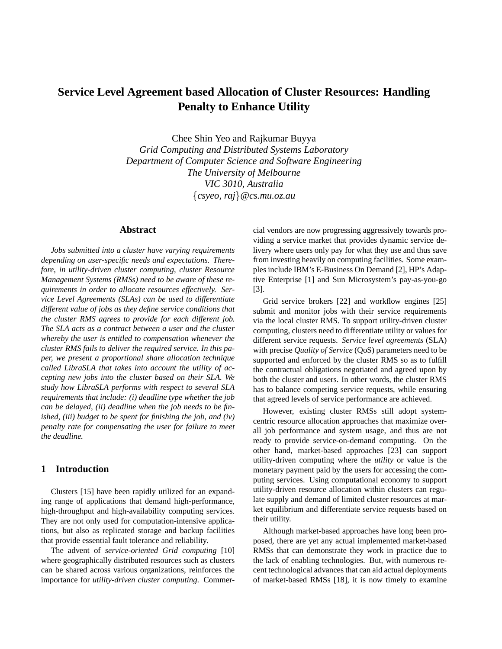# **Service Level Agreement based Allocation of Cluster Resources: Handling Penalty to Enhance Utility**

Chee Shin Yeo and Rajkumar Buyya

*Grid Computing and Distributed Systems Laboratory Department of Computer Science and Software Engineering The University of Melbourne VIC 3010, Australia* {*csyeo, raj*}*@cs.mu.oz.au*

### **Abstract**

*Jobs submitted into a cluster have varying requirements depending on user-specific needs and expectations. Therefore, in utility-driven cluster computing, cluster Resource Management Systems (RMSs) need to be aware of these requirements in order to allocate resources effectively. Service Level Agreements (SLAs) can be used to differentiate different value of jobs as they define service conditions that the cluster RMS agrees to provide for each different job. The SLA acts as a contract between a user and the cluster whereby the user is entitled to compensation whenever the cluster RMS fails to deliver the required service. In this paper, we present a proportional share allocation technique called LibraSLA that takes into account the utility of accepting new jobs into the cluster based on their SLA. We study how LibraSLA performs with respect to several SLA requirements that include: (i) deadline type whether the job can be delayed, (ii) deadline when the job needs to be finished, (iii) budget to be spent for finishing the job, and (iv) penalty rate for compensating the user for failure to meet the deadline.*

### **1 Introduction**

Clusters [15] have been rapidly utilized for an expanding range of applications that demand high-performance, high-throughput and high-availability computing services. They are not only used for computation-intensive applications, but also as replicated storage and backup facilities that provide essential fault tolerance and reliability.

The advent of *service-oriented Grid computing* [10] where geographically distributed resources such as clusters can be shared across various organizations, reinforces the importance for *utility-driven cluster computing*. Commercial vendors are now progressing aggressively towards providing a service market that provides dynamic service delivery where users only pay for what they use and thus save from investing heavily on computing facilities. Some examples include IBM's E-Business On Demand [2], HP's Adaptive Enterprise [1] and Sun Microsystem's pay-as-you-go [3].

Grid service brokers [22] and workflow engines [25] submit and monitor jobs with their service requirements via the local cluster RMS. To support utility-driven cluster computing, clusters need to differentiate utility or values for different service requests. *Service level agreements* (SLA) with precise *Quality of Service* (QoS) parameters need to be supported and enforced by the cluster RMS so as to fulfill the contractual obligations negotiated and agreed upon by both the cluster and users. In other words, the cluster RMS has to balance competing service requests, while ensuring that agreed levels of service performance are achieved.

However, existing cluster RMSs still adopt systemcentric resource allocation approaches that maximize overall job performance and system usage, and thus are not ready to provide service-on-demand computing. On the other hand, market-based approaches [23] can support utility-driven computing where the *utility* or value is the monetary payment paid by the users for accessing the computing services. Using computational economy to support utility-driven resource allocation within clusters can regulate supply and demand of limited cluster resources at market equilibrium and differentiate service requests based on their utility.

Although market-based approaches have long been proposed, there are yet any actual implemented market-based RMSs that can demonstrate they work in practice due to the lack of enabling technologies. But, with numerous recent technological advances that can aid actual deployments of market-based RMSs [18], it is now timely to examine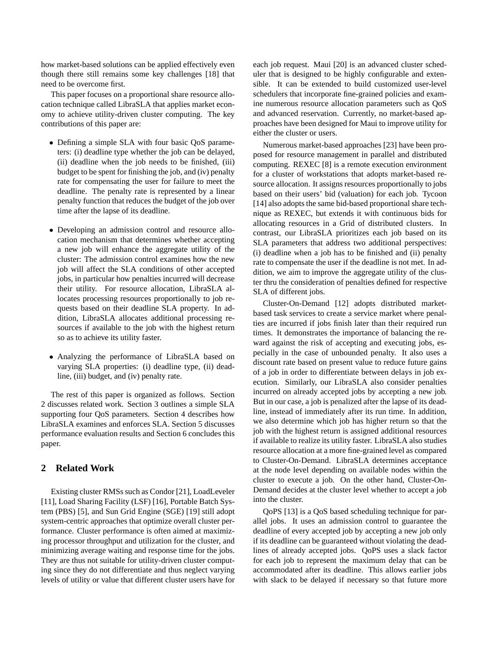how market-based solutions can be applied effectively even though there still remains some key challenges [18] that need to be overcome first.

This paper focuses on a proportional share resource allocation technique called LibraSLA that applies market economy to achieve utility-driven cluster computing. The key contributions of this paper are:

- Defining a simple SLA with four basic QoS parameters: (i) deadline type whether the job can be delayed, (ii) deadline when the job needs to be finished, (iii) budget to be spent for finishing the job, and (iv) penalty rate for compensating the user for failure to meet the deadline. The penalty rate is represented by a linear penalty function that reduces the budget of the job over time after the lapse of its deadline.
- Developing an admission control and resource allocation mechanism that determines whether accepting a new job will enhance the aggregate utility of the cluster: The admission control examines how the new job will affect the SLA conditions of other accepted jobs, in particular how penalties incurred will decrease their utility. For resource allocation, LibraSLA allocates processing resources proportionally to job requests based on their deadline SLA property. In addition, LibraSLA allocates additional processing resources if available to the job with the highest return so as to achieve its utility faster.
- Analyzing the performance of LibraSLA based on varying SLA properties: (i) deadline type, (ii) deadline, (iii) budget, and (iv) penalty rate.

The rest of this paper is organized as follows. Section 2 discusses related work. Section 3 outlines a simple SLA supporting four QoS parameters. Section 4 describes how LibraSLA examines and enforces SLA. Section 5 discusses performance evaluation results and Section 6 concludes this paper.

### **2 Related Work**

Existing cluster RMSs such as Condor [21], LoadLeveler [11], Load Sharing Facility (LSF) [16], Portable Batch System (PBS) [5], and Sun Grid Engine (SGE) [19] still adopt system-centric approaches that optimize overall cluster performance. Cluster performance is often aimed at maximizing processor throughput and utilization for the cluster, and minimizing average waiting and response time for the jobs. They are thus not suitable for utility-driven cluster computing since they do not differentiate and thus neglect varying levels of utility or value that different cluster users have for each job request. Maui [20] is an advanced cluster scheduler that is designed to be highly configurable and extensible. It can be extended to build customized user-level schedulers that incorporate fine-grained policies and examine numerous resource allocation parameters such as QoS and advanced reservation. Currently, no market-based approaches have been designed for Maui to improve utility for either the cluster or users.

Numerous market-based approaches [23] have been proposed for resource management in parallel and distributed computing. REXEC [8] is a remote execution environment for a cluster of workstations that adopts market-based resource allocation. It assigns resources proportionally to jobs based on their users' bid (valuation) for each job. Tycoon [14] also adopts the same bid-based proportional share technique as REXEC, but extends it with continuous bids for allocating resources in a Grid of distributed clusters. In contrast, our LibraSLA prioritizes each job based on its SLA parameters that address two additional perspectives: (i) deadline when a job has to be finished and (ii) penalty rate to compensate the user if the deadline is not met. In addition, we aim to improve the aggregate utility of the cluster thru the consideration of penalties defined for respective SLA of different jobs.

Cluster-On-Demand [12] adopts distributed marketbased task services to create a service market where penalties are incurred if jobs finish later than their required run times. It demonstrates the importance of balancing the reward against the risk of accepting and executing jobs, especially in the case of unbounded penalty. It also uses a discount rate based on present value to reduce future gains of a job in order to differentiate between delays in job execution. Similarly, our LibraSLA also consider penalties incurred on already accepted jobs by accepting a new job. But in our case, a job is penalized after the lapse of its deadline, instead of immediately after its run time. In addition, we also determine which job has higher return so that the job with the highest return is assigned additional resources if available to realize its utility faster. LibraSLA also studies resource allocation at a more fine-grained level as compared to Cluster-On-Demand. LibraSLA determines acceptance at the node level depending on available nodes within the cluster to execute a job. On the other hand, Cluster-On-Demand decides at the cluster level whether to accept a job into the cluster.

QoPS [13] is a QoS based scheduling technique for parallel jobs. It uses an admission control to guarantee the deadline of every accepted job by accepting a new job only if its deadline can be guaranteed without violating the deadlines of already accepted jobs. QoPS uses a slack factor for each job to represent the maximum delay that can be accommodated after its deadline. This allows earlier jobs with slack to be delayed if necessary so that future more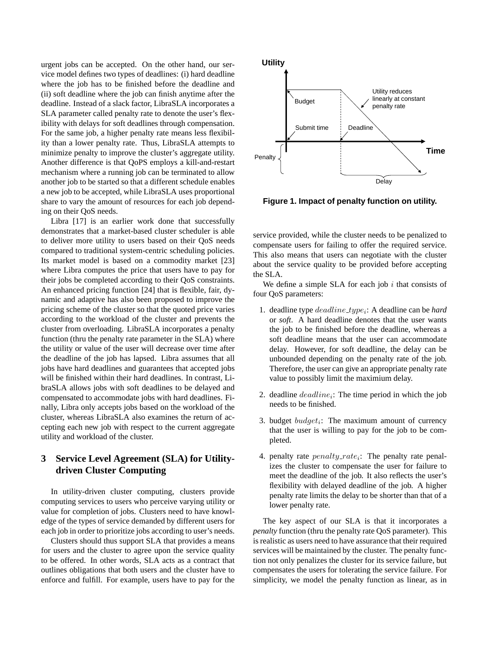urgent jobs can be accepted. On the other hand, our service model defines two types of deadlines: (i) hard deadline where the job has to be finished before the deadline and (ii) soft deadline where the job can finish anytime after the deadline. Instead of a slack factor, LibraSLA incorporates a SLA parameter called penalty rate to denote the user's flexibility with delays for soft deadlines through compensation. For the same job, a higher penalty rate means less flexibility than a lower penalty rate. Thus, LibraSLA attempts to minimize penalty to improve the cluster's aggregate utility. Another difference is that QoPS employs a kill-and-restart mechanism where a running job can be terminated to allow another job to be started so that a different schedule enables a new job to be accepted, while LibraSLA uses proportional share to vary the amount of resources for each job depending on their QoS needs.

Libra [17] is an earlier work done that successfully demonstrates that a market-based cluster scheduler is able to deliver more utility to users based on their QoS needs compared to traditional system-centric scheduling policies. Its market model is based on a commodity market [23] where Libra computes the price that users have to pay for their jobs be completed according to their QoS constraints. An enhanced pricing function [24] that is flexible, fair, dynamic and adaptive has also been proposed to improve the pricing scheme of the cluster so that the quoted price varies according to the workload of the cluster and prevents the cluster from overloading. LibraSLA incorporates a penalty function (thru the penalty rate parameter in the SLA) where the utility or value of the user will decrease over time after the deadline of the job has lapsed. Libra assumes that all jobs have hard deadlines and guarantees that accepted jobs will be finished within their hard deadlines. In contrast, LibraSLA allows jobs with soft deadlines to be delayed and compensated to accommodate jobs with hard deadlines. Finally, Libra only accepts jobs based on the workload of the cluster, whereas LibraSLA also examines the return of accepting each new job with respect to the current aggregate utility and workload of the cluster.

## **3 Service Level Agreement (SLA) for Utilitydriven Cluster Computing**

In utility-driven cluster computing, clusters provide computing services to users who perceive varying utility or value for completion of jobs. Clusters need to have knowledge of the types of service demanded by different users for each job in order to prioritize jobs according to user's needs.

Clusters should thus support SLA that provides a means for users and the cluster to agree upon the service quality to be offered. In other words, SLA acts as a contract that outlines obligations that both users and the cluster have to enforce and fulfill. For example, users have to pay for the



**Figure 1. Impact of penalty function on utility.**

service provided, while the cluster needs to be penalized to compensate users for failing to offer the required service. This also means that users can negotiate with the cluster about the service quality to be provided before accepting the SLA.

We define a simple SLA for each job  $i$  that consists of four QoS parameters:

- 1. deadline type deadline type<sup>i</sup> : A deadline can be *hard* or *soft*. A hard deadline denotes that the user wants the job to be finished before the deadline, whereas a soft deadline means that the user can accommodate delay. However, for soft deadline, the delay can be unbounded depending on the penalty rate of the job. Therefore, the user can give an appropriate penalty rate value to possibly limit the maximium delay.
- 2. deadline  $deadline_i$ : The time period in which the job needs to be finished.
- 3. budget  $budget_i$ : The maximum amount of currency that the user is willing to pay for the job to be completed.
- 4. penalty rate  $penalty_rate_i$ : The penalty rate penalizes the cluster to compensate the user for failure to meet the deadline of the job. It also reflects the user's flexibility with delayed deadline of the job. A higher penalty rate limits the delay to be shorter than that of a lower penalty rate.

The key aspect of our SLA is that it incorporates a *penalty* function (thru the penalty rate QoS parameter). This is realistic as users need to have assurance that their required services will be maintained by the cluster. The penalty function not only penalizes the cluster for its service failure, but compensates the users for tolerating the service failure. For simplicity, we model the penalty function as linear, as in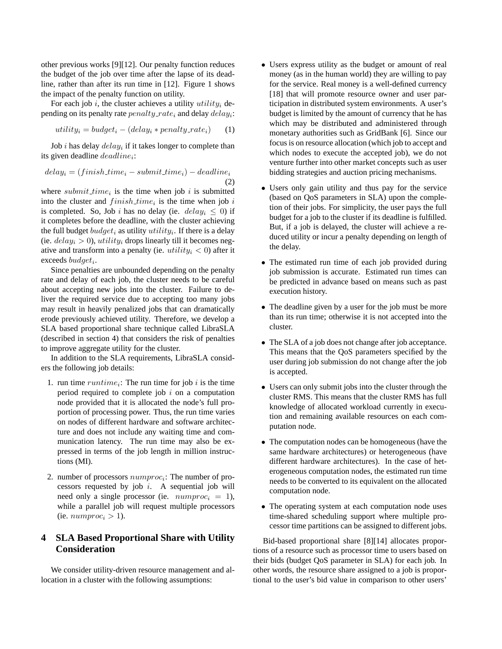other previous works [9][12]. Our penalty function reduces the budget of the job over time after the lapse of its deadline, rather than after its run time in [12]. Figure 1 shows the impact of the penalty function on utility.

For each job i, the cluster achieves a utility  $utility_i$  depending on its penalty rate  $penalty\_rate_i$  and delay  $delay_i$ :

$$
utility_i = budget_i - (delay_i * penalty\_rate_i) \qquad (1)
$$

Job *i* has delay  $delay_i$  if it takes longer to complete than its given deadline  $deadline_i$ :

$$
delay_i = (finish\_time_i - submit\_time_i) - deadline_i
$$
\n(2)

where  $\textit{submit_time}_i$  is the time when job i is submitted into the cluster and  $finish\_time_i$  is the time when job i is completed. So, Job i has no delay (ie.  $delay_i \leq 0$ ) if it completes before the deadline, with the cluster achieving the full budget  $budget_i$  as utility  $utility_i$ . If there is a delay (ie.  $delay_i > 0$ ), utility<sub>i</sub> drops linearly till it becomes negative and transform into a penalty (ie.  $utility_i < 0$ ) after it  $exceeds$   $budget_i$ .

Since penalties are unbounded depending on the penalty rate and delay of each job, the cluster needs to be careful about accepting new jobs into the cluster. Failure to deliver the required service due to accepting too many jobs may result in heavily penalized jobs that can dramatically erode previously achieved utility. Therefore, we develop a SLA based proportional share technique called LibraSLA (described in section 4) that considers the risk of penalties to improve aggregate utility for the cluster.

In addition to the SLA requirements, LibraSLA considers the following job details:

- 1. run time  $runtime_i$ : The run time for job i is the time period required to complete job  $i$  on a computation node provided that it is allocated the node's full proportion of processing power. Thus, the run time varies on nodes of different hardware and software architecture and does not include any waiting time and communication latency. The run time may also be expressed in terms of the job length in million instructions (MI).
- 2. number of processors  $\textit{number}$ : The number of processors requested by job  $i$ . A sequential job will need only a single processor (ie.  $numproc_i = 1$ ), while a parallel job will request multiple processors (ie.  $\textit{numberoc}_i > 1$ ).

# **4 SLA Based Proportional Share with Utility Consideration**

We consider utility-driven resource management and allocation in a cluster with the following assumptions:

- Users express utility as the budget or amount of real money (as in the human world) they are willing to pay for the service. Real money is a well-defined currency [18] that will promote resource owner and user participation in distributed system environments. A user's budget is limited by the amount of currency that he has which may be distributed and administered through monetary authorities such as GridBank [6]. Since our focus is on resource allocation (which job to accept and which nodes to execute the accepted job), we do not venture further into other market concepts such as user bidding strategies and auction pricing mechanisms.
- Users only gain utility and thus pay for the service (based on QoS parameters in SLA) upon the completion of their jobs. For simplicity, the user pays the full budget for a job to the cluster if its deadline is fulfilled. But, if a job is delayed, the cluster will achieve a reduced utility or incur a penalty depending on length of the delay.
- The estimated run time of each job provided during job submission is accurate. Estimated run times can be predicted in advance based on means such as past execution history.
- The deadline given by a user for the job must be more than its run time; otherwise it is not accepted into the cluster.
- The SLA of a job does not change after job acceptance. This means that the QoS parameters specified by the user during job submission do not change after the job is accepted.
- Users can only submit jobs into the cluster through the cluster RMS. This means that the cluster RMS has full knowledge of allocated workload currently in execution and remaining available resources on each computation node.
- The computation nodes can be homogeneous (have the same hardware architectures) or heterogeneous (have different hardware architectures). In the case of heterogeneous computation nodes, the estimated run time needs to be converted to its equivalent on the allocated computation node.
- The operating system at each computation node uses time-shared scheduling support where multiple processor time partitions can be assigned to different jobs.

Bid-based proportional share [8][14] allocates proportions of a resource such as processor time to users based on their bids (budget QoS parameter in SLA) for each job. In other words, the resource share assigned to a job is proportional to the user's bid value in comparison to other users'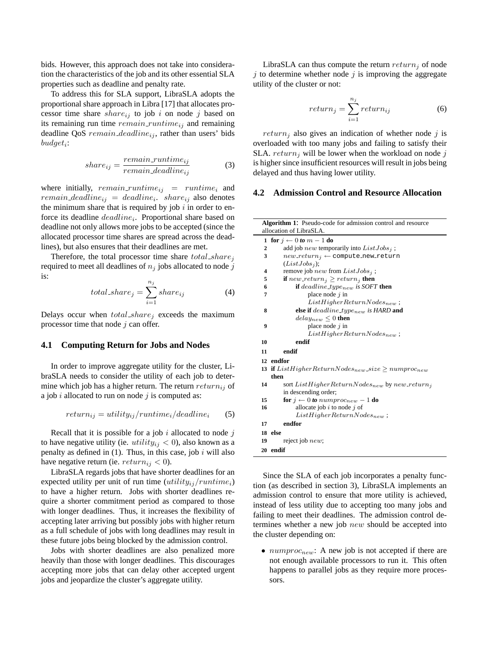bids. However, this approach does not take into consideration the characteristics of the job and its other essential SLA properties such as deadline and penalty rate.

To address this for SLA support, LibraSLA adopts the proportional share approach in Libra [17] that allocates processor time share  $share_{ij}$  to job i on node j based on its remaining run time  $remain\_runtime_{ij}$  and remaining deadline QoS  $remain\_deadline_{ij}$ , rather than users' bids  $budget_i$ :

$$
share_{ij} = \frac{remain\_runtime_{ij}}{remain\_deadline_{ij}}\tag{3}
$$

where initially,  $remain\_runtime_{ij}$  =  $runtime_i$  and  $remain\_deadline_{ij} = deadline_i$ . share<sub>ij</sub> also denotes the minimum share that is required by job  $i$  in order to enforce its deadline  $deadline_i$ . Proportional share based on deadline not only allows more jobs to be accepted (since the allocated processor time shares are spread across the deadlines), but also ensures that their deadlines are met.

Therefore, the total processor time share  $total\_share_i$ required to meet all deadlines of  $n<sub>i</sub>$  jobs allocated to node j is:

$$
total\_share_j = \sum_{i=1}^{n_j} share_{ij}
$$
 (4)

Delays occur when  $total\_share_j$  exceeds the maximum processor time that node  $j$  can offer.

#### **4.1 Computing Return for Jobs and Nodes**

In order to improve aggregate utility for the cluster, LibraSLA needs to consider the utility of each job to determine which job has a higher return. The return  $return_{ij}$  of a job  $i$  allocated to run on node  $j$  is computed as:

$$
return_{ij} = utility_{ij}/runtime_i/deadline_i \tag{5}
$$

Recall that it is possible for a job  $i$  allocated to node  $j$ to have negative utility (ie.  $utility_{ij} < 0$ ), also known as a penalty as defined in  $(1)$ . Thus, in this case, job i will also have negative return (ie.  $return_{ij} < 0$ ).

LibraSLA regards jobs that have shorter deadlines for an expected utility per unit of run time  $(utility_{ij}/runtime_i)$ to have a higher return. Jobs with shorter deadlines require a shorter commitment period as compared to those with longer deadlines. Thus, it increases the flexibility of accepting later arriving but possibly jobs with higher return as a full schedule of jobs with long deadlines may result in these future jobs being blocked by the admission control.

Jobs with shorter deadlines are also penalized more heavily than those with longer deadlines. This discourages accepting more jobs that can delay other accepted urgent jobs and jeopardize the cluster's aggregate utility.

LibraSLA can thus compute the return  $return<sub>i</sub>$  of node  $j$  to determine whether node  $j$  is improving the aggregate utility of the cluster or not:

$$
return_j = \sum_{i=1}^{n_j} return_{ij}
$$
 (6)

 $return<sub>j</sub>$  also gives an indication of whether node j is overloaded with too many jobs and failing to satisfy their SLA.  $return_i$  will be lower when the workload on node j is higher since insufficient resources will result in jobs being delayed and thus having lower utility.

#### **4.2 Admission Control and Resource Allocation**

| allocation of LibraSLA.<br>for $j \leftarrow 0$ to $m - 1$ do<br>1<br>add job <i>new</i> temporarily into $ListJobsi$ ;<br>$\overline{2}$<br>3<br>$new\_return_i \leftarrow compute\_new\_return$<br>$(List Jobsi)$ ;<br>remove job <i>new</i> from $ListJobs_i$ ;<br>4<br>if $new\_return_j \geq return_j$ then<br>5<br><b>if</b> deadline_type <sub>new</sub> is SOFT <b>then</b><br>6<br>place node $j$ in<br>7<br>$ListHigherReturnNodes_{new};$<br>else if $deadline\_type_{new}$ is HARD and<br>8<br>$delay_{new} \leq 0$ then<br>place node $j$ in<br>9<br>$ListHigherReturnNodes_{new};$<br>endif<br>10<br>endif<br>11<br>12 endfor<br><b>13 if</b> ListHigherReturnNodes <sub>new-</sub> size > numproc <sub>new</sub><br>then<br>sort List Higher Return Nodes <sub>new</sub> by new_return <sub>j</sub><br>14<br>in descending order;<br>15<br>for $j \leftarrow 0$ to numproc <sub>new</sub> - 1 do<br>allocate job $i$ to node $j$ of<br>16<br>$ListHigherReturnNodes_{new};$<br>endfor<br>17<br>18 else<br>reject job $new$ ;<br>19<br>20 endif | Algorithm 1: Pseudo-code for admission control and resource |  |  |
|---------------------------------------------------------------------------------------------------------------------------------------------------------------------------------------------------------------------------------------------------------------------------------------------------------------------------------------------------------------------------------------------------------------------------------------------------------------------------------------------------------------------------------------------------------------------------------------------------------------------------------------------------------------------------------------------------------------------------------------------------------------------------------------------------------------------------------------------------------------------------------------------------------------------------------------------------------------------------------------------------------------------------------------------------------------|-------------------------------------------------------------|--|--|
|                                                                                                                                                                                                                                                                                                                                                                                                                                                                                                                                                                                                                                                                                                                                                                                                                                                                                                                                                                                                                                                               |                                                             |  |  |
|                                                                                                                                                                                                                                                                                                                                                                                                                                                                                                                                                                                                                                                                                                                                                                                                                                                                                                                                                                                                                                                               |                                                             |  |  |
|                                                                                                                                                                                                                                                                                                                                                                                                                                                                                                                                                                                                                                                                                                                                                                                                                                                                                                                                                                                                                                                               |                                                             |  |  |
|                                                                                                                                                                                                                                                                                                                                                                                                                                                                                                                                                                                                                                                                                                                                                                                                                                                                                                                                                                                                                                                               |                                                             |  |  |
|                                                                                                                                                                                                                                                                                                                                                                                                                                                                                                                                                                                                                                                                                                                                                                                                                                                                                                                                                                                                                                                               |                                                             |  |  |
|                                                                                                                                                                                                                                                                                                                                                                                                                                                                                                                                                                                                                                                                                                                                                                                                                                                                                                                                                                                                                                                               |                                                             |  |  |
|                                                                                                                                                                                                                                                                                                                                                                                                                                                                                                                                                                                                                                                                                                                                                                                                                                                                                                                                                                                                                                                               |                                                             |  |  |
|                                                                                                                                                                                                                                                                                                                                                                                                                                                                                                                                                                                                                                                                                                                                                                                                                                                                                                                                                                                                                                                               |                                                             |  |  |
|                                                                                                                                                                                                                                                                                                                                                                                                                                                                                                                                                                                                                                                                                                                                                                                                                                                                                                                                                                                                                                                               |                                                             |  |  |
|                                                                                                                                                                                                                                                                                                                                                                                                                                                                                                                                                                                                                                                                                                                                                                                                                                                                                                                                                                                                                                                               |                                                             |  |  |
|                                                                                                                                                                                                                                                                                                                                                                                                                                                                                                                                                                                                                                                                                                                                                                                                                                                                                                                                                                                                                                                               |                                                             |  |  |
|                                                                                                                                                                                                                                                                                                                                                                                                                                                                                                                                                                                                                                                                                                                                                                                                                                                                                                                                                                                                                                                               |                                                             |  |  |
|                                                                                                                                                                                                                                                                                                                                                                                                                                                                                                                                                                                                                                                                                                                                                                                                                                                                                                                                                                                                                                                               |                                                             |  |  |
|                                                                                                                                                                                                                                                                                                                                                                                                                                                                                                                                                                                                                                                                                                                                                                                                                                                                                                                                                                                                                                                               |                                                             |  |  |
|                                                                                                                                                                                                                                                                                                                                                                                                                                                                                                                                                                                                                                                                                                                                                                                                                                                                                                                                                                                                                                                               |                                                             |  |  |
|                                                                                                                                                                                                                                                                                                                                                                                                                                                                                                                                                                                                                                                                                                                                                                                                                                                                                                                                                                                                                                                               |                                                             |  |  |
|                                                                                                                                                                                                                                                                                                                                                                                                                                                                                                                                                                                                                                                                                                                                                                                                                                                                                                                                                                                                                                                               |                                                             |  |  |
|                                                                                                                                                                                                                                                                                                                                                                                                                                                                                                                                                                                                                                                                                                                                                                                                                                                                                                                                                                                                                                                               |                                                             |  |  |
|                                                                                                                                                                                                                                                                                                                                                                                                                                                                                                                                                                                                                                                                                                                                                                                                                                                                                                                                                                                                                                                               |                                                             |  |  |
|                                                                                                                                                                                                                                                                                                                                                                                                                                                                                                                                                                                                                                                                                                                                                                                                                                                                                                                                                                                                                                                               |                                                             |  |  |
|                                                                                                                                                                                                                                                                                                                                                                                                                                                                                                                                                                                                                                                                                                                                                                                                                                                                                                                                                                                                                                                               |                                                             |  |  |
|                                                                                                                                                                                                                                                                                                                                                                                                                                                                                                                                                                                                                                                                                                                                                                                                                                                                                                                                                                                                                                                               |                                                             |  |  |
|                                                                                                                                                                                                                                                                                                                                                                                                                                                                                                                                                                                                                                                                                                                                                                                                                                                                                                                                                                                                                                                               |                                                             |  |  |
|                                                                                                                                                                                                                                                                                                                                                                                                                                                                                                                                                                                                                                                                                                                                                                                                                                                                                                                                                                                                                                                               |                                                             |  |  |
|                                                                                                                                                                                                                                                                                                                                                                                                                                                                                                                                                                                                                                                                                                                                                                                                                                                                                                                                                                                                                                                               |                                                             |  |  |
|                                                                                                                                                                                                                                                                                                                                                                                                                                                                                                                                                                                                                                                                                                                                                                                                                                                                                                                                                                                                                                                               |                                                             |  |  |
|                                                                                                                                                                                                                                                                                                                                                                                                                                                                                                                                                                                                                                                                                                                                                                                                                                                                                                                                                                                                                                                               |                                                             |  |  |
|                                                                                                                                                                                                                                                                                                                                                                                                                                                                                                                                                                                                                                                                                                                                                                                                                                                                                                                                                                                                                                                               |                                                             |  |  |

Since the SLA of each job incorporates a penalty function (as described in section 3), LibraSLA implements an admission control to ensure that more utility is achieved, instead of less utility due to accepting too many jobs and failing to meet their deadlines. The admission control determines whether a new job new should be accepted into the cluster depending on:

•  $numproc_{new}$ : A new job is not accepted if there are not enough available processors to run it. This often happens to parallel jobs as they require more processors.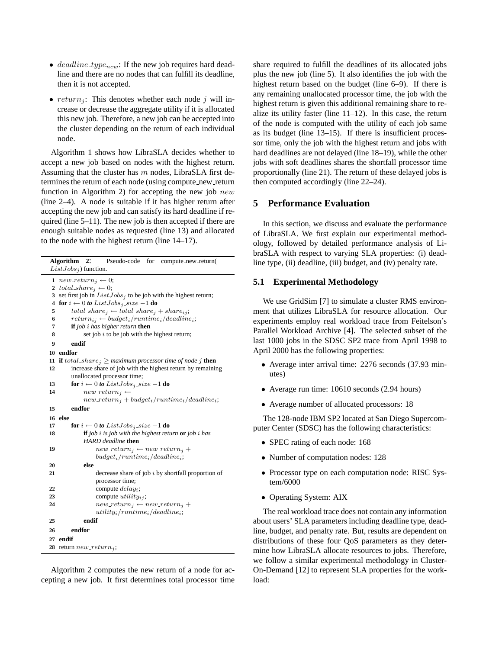- deadline\_type<sub>new</sub>: If the new job requires hard deadline and there are no nodes that can fulfill its deadline, then it is not accepted.
- $return_i$ : This denotes whether each node j will increase or decrease the aggregate utility if it is allocated this new job. Therefore, a new job can be accepted into the cluster depending on the return of each individual node.

Algorithm 1 shows how LibraSLA decides whether to accept a new job based on nodes with the highest return. Assuming that the cluster has  $m$  nodes, LibraSLA first determines the return of each node (using compute\_new\_return function in Algorithm 2) for accepting the new job  $new$ (line 2–4). A node is suitable if it has higher return after accepting the new job and can satisfy its hard deadline if required (line 5–11). The new job is then accepted if there are enough suitable nodes as requested (line 13) and allocated to the node with the highest return (line 14–17).

| Pseudo-code<br><b>Algorithm</b><br>2:<br>for<br>compute_new_return(<br>$List Jobsj$ ) function.                                                                                                                                                                                                                                                                                                                                                     |
|-----------------------------------------------------------------------------------------------------------------------------------------------------------------------------------------------------------------------------------------------------------------------------------------------------------------------------------------------------------------------------------------------------------------------------------------------------|
| $new\_return_i \leftarrow 0;$<br>1<br>$total\_share_i \leftarrow 0;$<br>2<br>set first job in $ListJobs_j$ to be job with the highest return;<br>3<br>for $i \leftarrow 0$ to ListJobs <sub>i</sub> size -1 do<br>4<br>5<br>$total\_share_i \leftarrow total\_share_i + share_{ij};$<br>$return_{ij} \leftarrow budget_i/runtime_i/deadline_i;$<br>6<br>if job i has higher return then<br>7<br>set job $i$ to be job with the highest return;<br>8 |
| endif<br>9                                                                                                                                                                                                                                                                                                                                                                                                                                          |
| endfor<br>10                                                                                                                                                                                                                                                                                                                                                                                                                                        |
| <b>if</b> total_share <sub>i</sub> $\geq$ maximum processor time of node j <b>then</b><br>11                                                                                                                                                                                                                                                                                                                                                        |
| increase share of job with the highest return by remaining<br>12                                                                                                                                                                                                                                                                                                                                                                                    |
| unallocated processor time;                                                                                                                                                                                                                                                                                                                                                                                                                         |
| for $i \leftarrow 0$ to List Jobs <sub>i</sub> _size -1 <b>do</b><br>13                                                                                                                                                                                                                                                                                                                                                                             |
| $new\_return_i \leftarrow$<br>14<br>$new\_return_j + budget_i/runtime_i/deadline_i;$                                                                                                                                                                                                                                                                                                                                                                |
| endfor<br>15                                                                                                                                                                                                                                                                                                                                                                                                                                        |
| 16 else                                                                                                                                                                                                                                                                                                                                                                                                                                             |
| for $i \leftarrow 0$ to List Jobs <sub>i</sub> _size -1 <b>do</b><br>17                                                                                                                                                                                                                                                                                                                                                                             |
| <b>if</b> job i is job with the highest return or job i has<br>18                                                                                                                                                                                                                                                                                                                                                                                   |
| HARD deadline then                                                                                                                                                                                                                                                                                                                                                                                                                                  |
| $new\_return_i \leftarrow new\_return_i +$<br>19                                                                                                                                                                                                                                                                                                                                                                                                    |
| $budget_i/runtime_i/deadline_i;$                                                                                                                                                                                                                                                                                                                                                                                                                    |
| else<br>20                                                                                                                                                                                                                                                                                                                                                                                                                                          |
| 21<br>decrease share of job $i$ by shortfall proportion of<br>processor time;                                                                                                                                                                                                                                                                                                                                                                       |
| 22<br>compute $delay_i$ ;                                                                                                                                                                                                                                                                                                                                                                                                                           |
| 23<br>compute $utility_{ii}$ ;                                                                                                                                                                                                                                                                                                                                                                                                                      |
| 24<br>$new\_return_i \leftarrow new\_return_i +$                                                                                                                                                                                                                                                                                                                                                                                                    |
| $utility_i$ /runtime <sub>i</sub> /deadline <sub>i</sub> ;                                                                                                                                                                                                                                                                                                                                                                                          |
| endif<br>25                                                                                                                                                                                                                                                                                                                                                                                                                                         |
| endfor<br>26                                                                                                                                                                                                                                                                                                                                                                                                                                        |
| endif<br>27                                                                                                                                                                                                                                                                                                                                                                                                                                         |
| 28 return $new-return_i$ ;                                                                                                                                                                                                                                                                                                                                                                                                                          |

Algorithm 2 computes the new return of a node for accepting a new job. It first determines total processor time share required to fulfill the deadlines of its allocated jobs plus the new job (line 5). It also identifies the job with the highest return based on the budget (line 6–9). If there is any remaining unallocated processor time, the job with the highest return is given this additional remaining share to realize its utility faster (line  $11-12$ ). In this case, the return of the node is computed with the utility of each job same as its budget (line 13–15). If there is insufficient processor time, only the job with the highest return and jobs with hard deadlines are not delayed (line 18-19), while the other jobs with soft deadlines shares the shortfall processor time proportionally (line 21). The return of these delayed jobs is then computed accordingly (line 22–24).

### **5 Performance Evaluation**

In this section, we discuss and evaluate the performance of LibraSLA. We first explain our experimental methodology, followed by detailed performance analysis of LibraSLA with respect to varying SLA properties: (i) deadline type, (ii) deadline, (iii) budget, and (iv) penalty rate.

### **5.1 Experimental Methodology**

We use GridSim [7] to simulate a cluster RMS environment that utilizes LibraSLA for resource allocation. Our experiments employ real workload trace from Feitelson's Parallel Workload Archive [4]. The selected subset of the last 1000 jobs in the SDSC SP2 trace from April 1998 to April 2000 has the following properties:

- Average inter arrival time: 2276 seconds (37.93 minutes)
- Average run time: 10610 seconds (2.94 hours)
- Average number of allocated processors: 18

The 128-node IBM SP2 located at San Diego Supercomputer Center (SDSC) has the following characteristics:

- SPEC rating of each node: 168
- Number of computation nodes: 128
- Processor type on each computation node: RISC System/6000
- Operating System: AIX

The real workload trace does not contain any information about users' SLA parameters including deadline type, deadline, budget, and penalty rate. But, results are dependent on distributions of these four QoS parameters as they determine how LibraSLA allocate resources to jobs. Therefore, we follow a similar experimental methodology in Cluster-On-Demand [12] to represent SLA properties for the workload: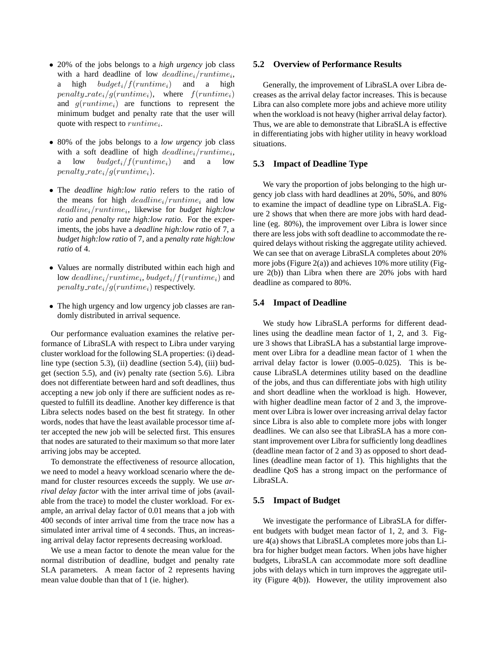- 20% of the jobs belongs to a *high urgency* job class with a hard deadline of low  $deadline_i$ ,  $runtime_i$ , a high  $budget_i/f(runtime_i)$  and a high  $penalty_rate_i/g(runtime_i)$ , where  $f(runtime_i)$ and  $g(runtime<sub>i</sub>)$  are functions to represent the minimum budget and penalty rate that the user will quote with respect to  $\textit{runtime}_i$ .
- 80% of the jobs belongs to a *low urgency* job class with a soft deadline of high  $deadline_i/runtime_i$ , a low  $budget_i/f(runtime_i)$  and a low  $penalty_rate_i/g(runtime_i).$
- The *deadline high:low ratio* refers to the ratio of the means for high  $deadline_i$  /runtime<sub>i</sub> and low deadlinei/runtime<sup>i</sup> , likewise for *budget high:low ratio* and *penalty rate high:low ratio*. For the experiments, the jobs have a *deadline high:low ratio* of 7, a *budget high:low ratio* of 7, and a *penalty rate high:low ratio* of 4.
- Values are normally distributed within each high and low  $\emph{deadline}_i/runtime_i, \emph{budget}_i/f(runtime_i)$  and  $penalty_rate_i/g(runtime_i)$  respectively.
- The high urgency and low urgency job classes are randomly distributed in arrival sequence.

Our performance evaluation examines the relative performance of LibraSLA with respect to Libra under varying cluster workload for the following SLA properties: (i) deadline type (section 5.3), (ii) deadline (section 5.4), (iii) budget (section 5.5), and (iv) penalty rate (section 5.6). Libra does not differentiate between hard and soft deadlines, thus accepting a new job only if there are sufficient nodes as requested to fulfill its deadline. Another key difference is that Libra selects nodes based on the best fit strategy. In other words, nodes that have the least available processor time after accepted the new job will be selected first. This ensures that nodes are saturated to their maximum so that more later arriving jobs may be accepted.

To demonstrate the effectiveness of resource allocation, we need to model a heavy workload scenario where the demand for cluster resources exceeds the supply. We use *arrival delay factor* with the inter arrival time of jobs (available from the trace) to model the cluster workload. For example, an arrival delay factor of 0.01 means that a job with 400 seconds of inter arrival time from the trace now has a simulated inter arrival time of 4 seconds. Thus, an increasing arrival delay factor represents decreasing workload.

We use a mean factor to denote the mean value for the normal distribution of deadline, budget and penalty rate SLA parameters. A mean factor of 2 represents having mean value double than that of 1 (ie. higher).

#### **5.2 Overview of Performance Results**

Generally, the improvement of LibraSLA over Libra decreases as the arrival delay factor increases. This is because Libra can also complete more jobs and achieve more utility when the workload is not heavy (higher arrival delay factor). Thus, we are able to demonstrate that LibraSLA is effective in differentiating jobs with higher utility in heavy workload situations.

#### **5.3 Impact of Deadline Type**

We vary the proportion of jobs belonging to the high urgency job class with hard deadlines at 20%, 50%, and 80% to examine the impact of deadline type on LibraSLA. Figure 2 shows that when there are more jobs with hard deadline (eg. 80%), the improvement over Libra is lower since there are less jobs with soft deadline to accommodate the required delays without risking the aggregate utility achieved. We can see that on average LibraSLA completes about 20% more jobs (Figure  $2(a)$ ) and achieves 10% more utility (Figure 2(b)) than Libra when there are 20% jobs with hard deadline as compared to 80%.

#### **5.4 Impact of Deadline**

We study how LibraSLA performs for different deadlines using the deadline mean factor of 1, 2, and 3. Figure 3 shows that LibraSLA has a substantial large improvement over Libra for a deadline mean factor of 1 when the arrival delay factor is lower (0.005–0.025). This is because LibraSLA determines utility based on the deadline of the jobs, and thus can differentiate jobs with high utility and short deadline when the workload is high. However, with higher deadline mean factor of 2 and 3, the improvement over Libra is lower over increasing arrival delay factor since Libra is also able to complete more jobs with longer deadlines. We can also see that LibraSLA has a more constant improvement over Libra for sufficiently long deadlines (deadline mean factor of 2 and 3) as opposed to short deadlines (deadline mean factor of 1). This highlights that the deadline QoS has a strong impact on the performance of LibraSLA.

### **5.5 Impact of Budget**

We investigate the performance of LibraSLA for different budgets with budget mean factor of 1, 2, and 3. Figure 4(a) shows that LibraSLA completes more jobs than Libra for higher budget mean factors. When jobs have higher budgets, LibraSLA can accommodate more soft deadline jobs with delays which in turn improves the aggregate utility (Figure 4(b)). However, the utility improvement also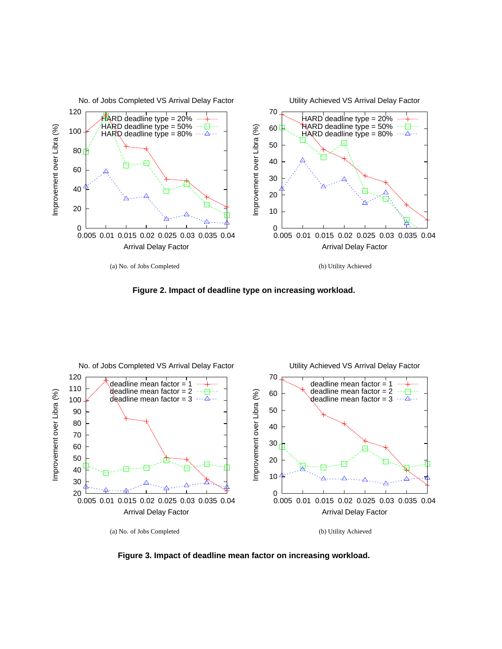

**Figure 2. Impact of deadline type on increasing workload.**



**Figure 3. Impact of deadline mean factor on increasing workload.**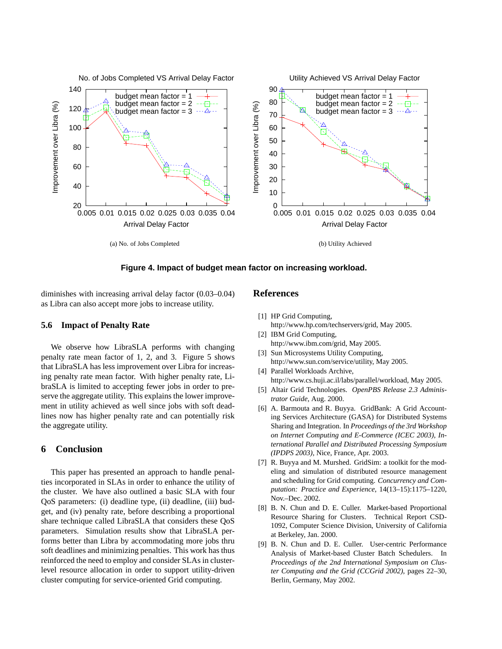

**Figure 4. Impact of budget mean factor on increasing workload.**

diminishes with increasing arrival delay factor (0.03–0.04) as Libra can also accept more jobs to increase utility.

### **5.6 Impact of Penalty Rate**

We observe how LibraSLA performs with changing penalty rate mean factor of 1, 2, and 3. Figure 5 shows that LibraSLA has less improvement over Libra for increasing penalty rate mean factor. With higher penalty rate, LibraSLA is limited to accepting fewer jobs in order to preserve the aggregate utility. This explains the lower improvement in utility achieved as well since jobs with soft deadlines now has higher penalty rate and can potentially risk the aggregate utility.

### **6 Conclusion**

This paper has presented an approach to handle penalties incorporated in SLAs in order to enhance the utility of the cluster. We have also outlined a basic SLA with four QoS parameters: (i) deadline type, (ii) deadline, (iii) budget, and (iv) penalty rate, before describing a proportional share technique called LibraSLA that considers these QoS parameters. Simulation results show that LibraSLA performs better than Libra by accommodating more jobs thru soft deadlines and minimizing penalties. This work has thus reinforced the need to employ and consider SLAs in clusterlevel resource allocation in order to support utility-driven cluster computing for service-oriented Grid computing.

#### **References**

- [1] HP Grid Computing,
- http://www.hp.com/techservers/grid, May 2005. [2] IBM Grid Computing,
- http://www.ibm.com/grid, May 2005. [3] Sun Microsystems Utility Computing,
- http://www.sun.com/service/utility, May 2005. [4] Parallel Workloads Archive,
- http://www.cs.huji.ac.il/labs/parallel/workload, May 2005.
- [5] Altair Grid Technologies. *OpenPBS Release 2.3 Administrator Guide*, Aug. 2000.
- [6] A. Barmouta and R. Buyya. GridBank: A Grid Accounting Services Architecture (GASA) for Distributed Systems Sharing and Integration. In *Proceedings of the 3rd Workshop on Internet Computing and E-Commerce (ICEC 2003), International Parallel and Distributed Processing Symposium (IPDPS 2003)*, Nice, France, Apr. 2003.
- [7] R. Buyya and M. Murshed. GridSim: a toolkit for the modeling and simulation of distributed resource management and scheduling for Grid computing. *Concurrency and Computation: Practice and Experience*, 14(13–15):1175–1220, Nov.–Dec. 2002.
- [8] B. N. Chun and D. E. Culler. Market-based Proportional Resource Sharing for Clusters. Technical Report CSD-1092, Computer Science Division, University of California at Berkeley, Jan. 2000.
- [9] B. N. Chun and D. E. Culler. User-centric Performance Analysis of Market-based Cluster Batch Schedulers. In *Proceedings of the 2nd International Symposium on Cluster Computing and the Grid (CCGrid 2002)*, pages 22–30, Berlin, Germany, May 2002.